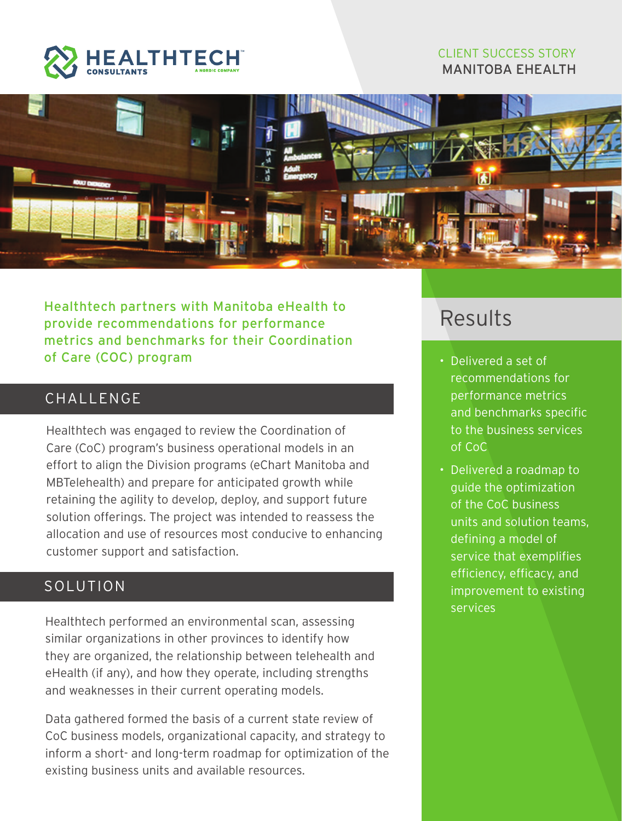

#### CLIENT SUCCESS STORY MANITOBA EHEALTH



Healthtech partners with Manitoba eHealth to provide recommendations for performance metrics and benchmarks for their Coordination of Care (COC) program

### CHALL FNGF

Healthtech was engaged to review the Coordination of Care (CoC) program's business operational models in an effort to align the Division programs (eChart Manitoba and MBTelehealth) and prepare for anticipated growth while retaining the agility to develop, deploy, and support future solution offerings. The project was intended to reassess the allocation and use of resources most conducive to enhancing customer support and satisfaction.

## SOLUTION

Healthtech performed an environmental scan, assessing similar organizations in other provinces to identify how they are organized, the relationship between telehealth and eHealth (if any), and how they operate, including strengths and weaknesses in their current operating models.

Data gathered formed the basis of a current state review of CoC business models, organizational capacity, and strategy to inform a short- and long-term roadmap for optimization of the existing business units and available resources.

# Results

- Delivered a set of recommendations for performance metrics and benchmarks specific to the business services of CoC
- Delivered a roadmap to guide the optimization of the CoC business units and solution teams, defining a model of service that exemplifies efficiency, efficacy, and improvement to existing services